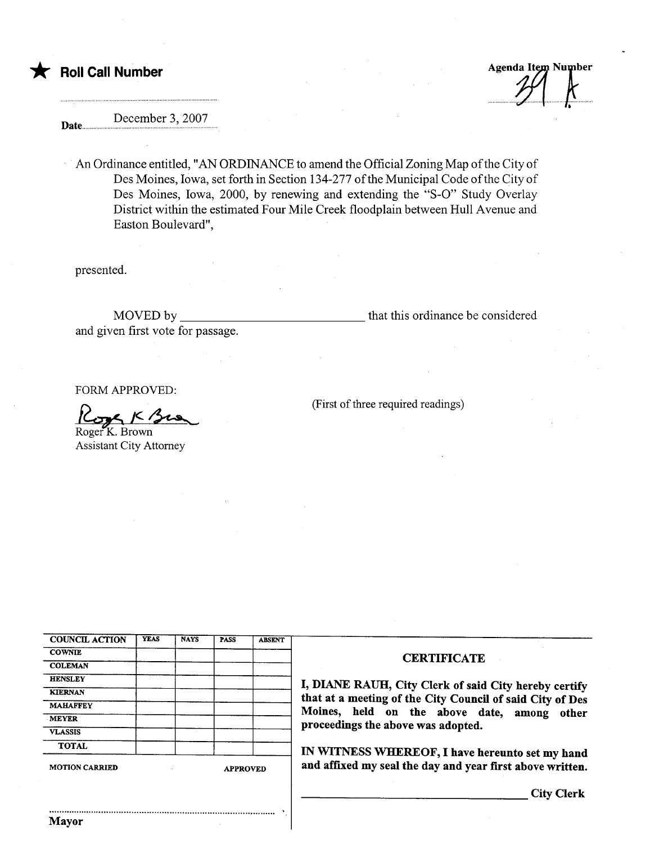**Roll Call Number** 

**Agenda Item Number** 

December 3, 2007 Date......

An Ordinance entitled, "AN ORDINANCE to amend the Official Zoning Map of the City of Des Moines, Iowa, set forth in Section 134-277 of the Municipal Code of the City of Des Moines, Iowa, 2000, by renewing and extending the "S-O" Study Overlay District within the estimated Four Mile Creek floodplain between Hull Avenue and Easton Boulevard",

presented.

MOVED by that this ordinance be considered and given first vote for passage.

FORM APPROVED:

 $K_{\mathcal{O}}$ Roger<sup>K</sup>. Brown

**Assistant City Attorney** 

(First of three required readings)

| <b>COUNCIL ACTION</b> | <b>YEAS</b>     | <b>NAYS</b> | PASS | <b>ABSENT</b> |
|-----------------------|-----------------|-------------|------|---------------|
| <b>COWNIE</b>         |                 |             |      |               |
| <b>COLEMAN</b>        |                 |             |      |               |
| <b>HENSLEY</b>        |                 |             |      |               |
| <b>KIERNAN</b>        |                 |             |      |               |
| <b>MAHAFFEY</b>       |                 |             |      |               |
| <b>MEYER</b>          |                 |             |      |               |
| <b>VLASSIS</b>        |                 |             |      |               |
| <b>TOTAL</b>          |                 |             |      |               |
| <b>MOTION CARRIED</b> | <b>APPROVED</b> |             |      |               |

## **CERTIFICATE**

I, DIANE RAUH, City Clerk of said City hereby certify that at a meeting of the City Council of said City of Des Moines, held on the above date, among other proceedings the above was adopted.

IN WITNESS WHEREOF, I have hereunto set my hand and affixed my seal the day and year first above written.

**City Clerk**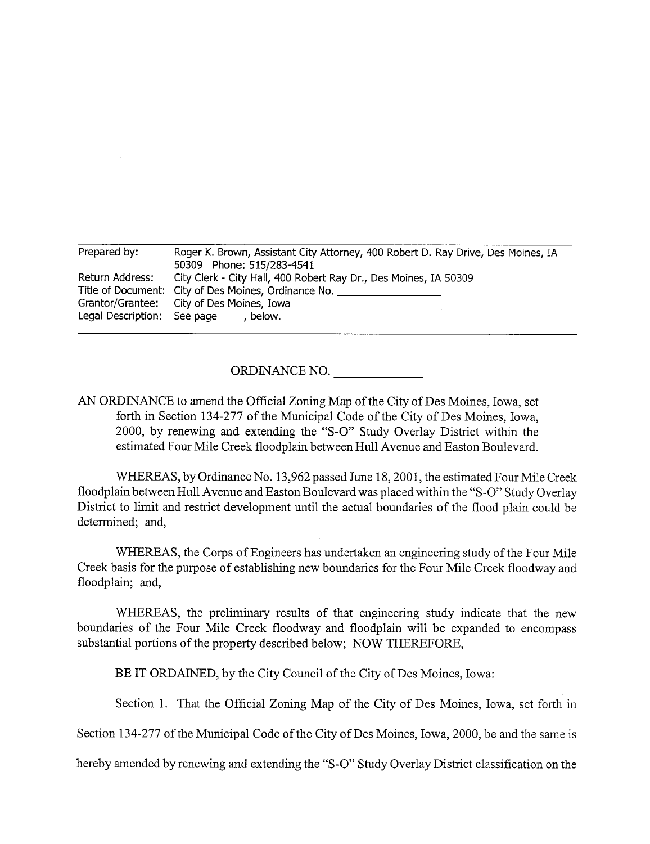| Prepared by:    | Roger K. Brown, Assistant City Attorney, 400 Robert D. Ray Drive, Des Moines, IA<br>50309 Phone: 515/283-4541                                                                                                      |
|-----------------|--------------------------------------------------------------------------------------------------------------------------------------------------------------------------------------------------------------------|
| Return Address: | City Clerk - City Hall, 400 Robert Ray Dr., Des Moines, IA 50309<br>Title of Document: City of Des Moines, Ordinance No.<br>Grantor/Grantee: City of Des Moines, Iowa<br>Legal Description: See page _____, below. |

ORDINANCE NO.

AN ORDINANCE to amend the Official Zoning Map of the City of Des Moines, Iowa, set forth in Section 134-277 of the Municipal Code of the City of Des Moines, Iowa, 2000, by renewing and extending the "S-O" Study Overlay District within the estimated Four Mile Creek floodplain between Hull Avenue and Easton Boulevard.

WHEREAS, by Ordinance No. 13,962 passed June 18,2001, the estimated Four Mile Creek floodplain between Hull Avenue and Easton Boulevard was placed withn the "S-O" Study Overlay District to limit and restrict development until the actual boundaries of the flood plain could be determined; and,

WHEREAS, the Corps of Engineers has undertaken an engineering study of the Four Mile Creek basis for the purpose of establishing new boundaries for the Four Mile Creek floodway and floodplain; and,

WHEREAS, the preliminary results of that engineering study indicate that the new boundaries of the Four Mile Creek floodway and floodplain will be expanded to encompass substantial portions of the property described below; NOW THEREFORE,

BE IT ORDAINED, by the City Council of the City of Des Moines, Iowa:

Section 1. That the Official Zoning Map of the City of Des Moines, Iowa, set forth in

Section 134-277 of the Municipal Code of the City of Des Moines, Iowa, 2000, be and the same is

hereby amended by renewing and extending the "S-O" Study Overlay District classification on the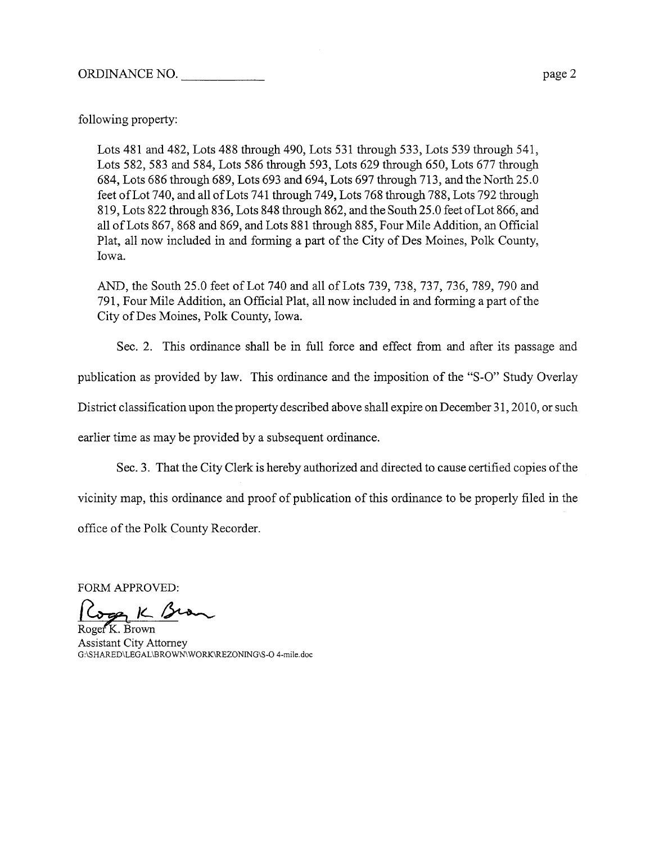following property:

Lots 481 and 482, Lots 488 through 490, Lots 531 through 533, Lots 539 through 541, Lots 582, 583 and 584, Lots 586 through 593, Lots 629 though 650, Lots 677 through 684, Lots 686 through 689, Lots 693 and 694, Lots 697 through 713, and the North 25.0 feet of Lot 740, and all of Lots 741 through 749, Lots 768 through 788, Lots 792 through 819, Lots 822 through 836, Lots 848 through 862, and the South 25.0 feet of Lot 866, and all of Lots 867, 868 and 869, and Lots 881 through 885, Four Mile Addition, an Official Plat, all now included in and forming a part of the City of Des Moines, Polk County, Iowa.

AND, the South 25.0 feet of Lot 740 and all of Lots 739, 738, 737, 736, 789, 790 and 791, Four Mile Addition, an Official Plat, all now included in and forming a par of the City of Des Moines, Polk County, Iowa.

Sec. 2. This ordinance shall be in full force and effect from and after its passage and

publication as provided by law. This ordinance and the imposition of the "S-O" Study Overlay

District classification upon the property described above shall expire on December 31, 2010, or such

earlier time as may be provided by a subsequent ordinance.

Sec. 3. That the City Clerk is hereby authorized and directed to cause certified copies ofthe

vicinity map, this ordinance and proof of publication of this ordinance to be properly filed in the

office of the Polk County Recorder.

FORM APPROVED:<br>Cogg K Bran Roger K. Brown

Assistant City Attorney G:\SHARED\LEGAL\BROWN\WORK\REZONING\S-O 4-mile.doc